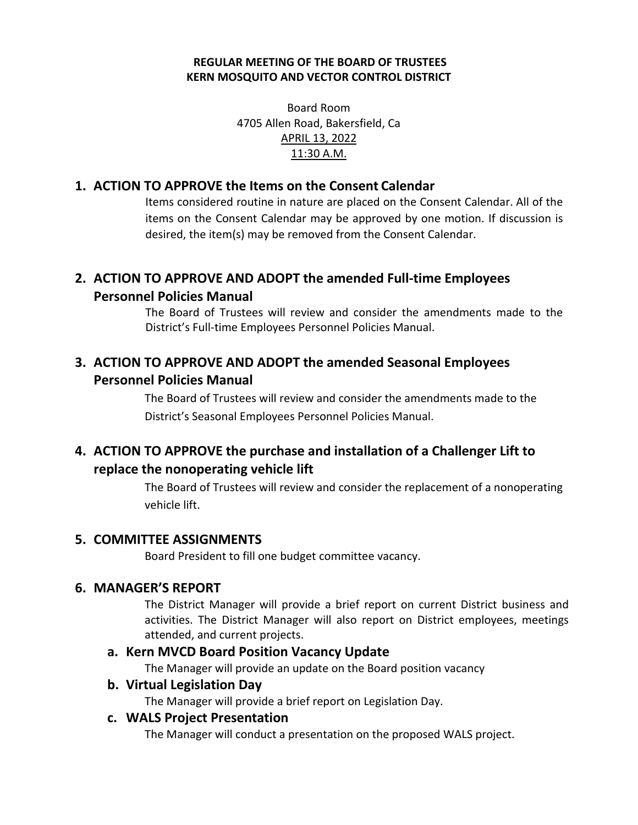#### **REGULAR MEETING OF THE BOARD OF TRUSTEES KERN MOSQUITO AND VECTOR CONTROL DISTRICT**

Board Room 4705 Allen Road, Bakersfield, Ca APRIL 13, 2022 11:30 A.M.

## **1. ACTION TO APPROVE the Items on the Consent Calendar**

Items considered routine in nature are placed on the Consent Calendar. All of the items on the Consent Calendar may be approved by one motion. If discussion is desired, the item(s) may be removed from the Consent Calendar.

# **2. ACTION TO APPROVE AND ADOPT the amended Full-time Employees Personnel Policies Manual**

The Board of Trustees will review and consider the amendments made to the District's Full-time Employees Personnel Policies Manual.

# **3. ACTION TO APPROVE AND ADOPT the amended Seasonal Employees Personnel Policies Manual**

The Board of Trustees will review and consider the amendments made to the District's Seasonal Employees Personnel Policies Manual.

# **4. ACTION TO APPROVE the purchase and installation of a Challenger Lift to replace the nonoperating vehicle lift**

The Board of Trustees will review and consider the replacement of a nonoperating vehicle lift.

## **5. COMMITTEE ASSIGNMENTS**

Board President to fill one budget committee vacancy.

## **6. MANAGER'S REPORT**

The District Manager will provide a brief report on current District business and activities. The District Manager will also report on District employees, meetings attended, and current projects.

#### **a. Kern MVCD Board Position Vacancy Update**

The Manager will provide an update on the Board position vacancy

#### **b. Virtual Legislation Day**

The Manager will provide a brief report on Legislation Day.

#### **c. WALS Project Presentation**

The Manager will conduct a presentation on the proposed WALS project.